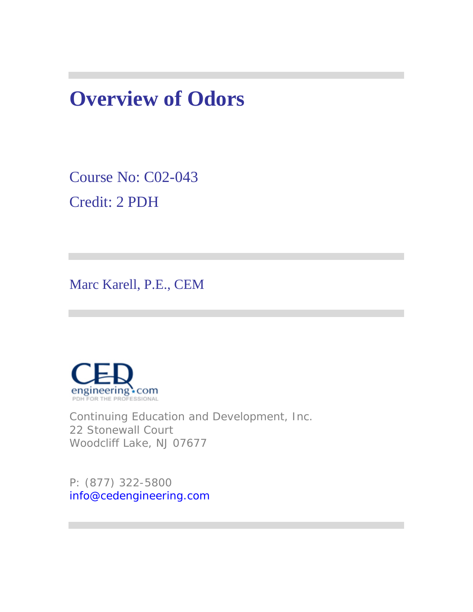# **Overview of Odors**

Course No: C02-043 Credit: 2 PDH

Marc Karell, P.E., CEM



Continuing Education and Development, Inc. 22 Stonewall Court Woodcliff Lake, NJ 07677

P: (877) 322-5800 info@cedengineering.com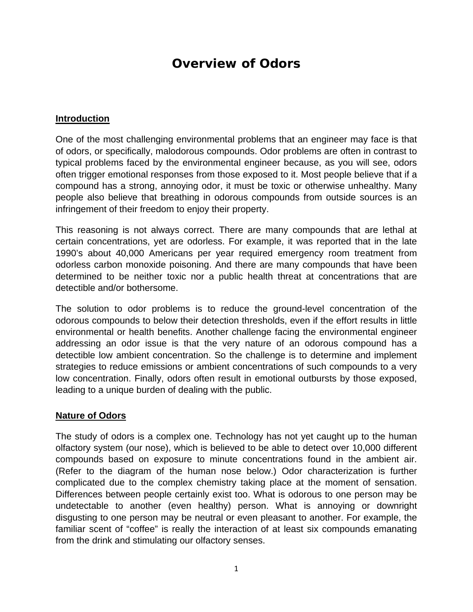# **Overview of Odors**

#### **Introduction**

One of the most challenging environmental problems that an engineer may face is that of odors, or specifically, malodorous compounds. Odor problems are often in contrast to typical problems faced by the environmental engineer because, as you will see, odors often trigger emotional responses from those exposed to it. Most people believe that if a compound has a strong, annoying odor, it must be toxic or otherwise unhealthy. Many people also believe that breathing in odorous compounds from outside sources is an infringement of their freedom to enjoy their property.

This reasoning is not always correct. There are many compounds that are lethal at certain concentrations, yet are odorless. For example, it was reported that in the late 1990's about 40,000 Americans per year required emergency room treatment from odorless carbon monoxide poisoning. And there are many compounds that have been determined to be neither toxic nor a public health threat at concentrations that are detectible and/or bothersome.

The solution to odor problems is to reduce the ground-level concentration of the odorous compounds to below their detection thresholds, even if the effort results in little environmental or health benefits. Another challenge facing the environmental engineer addressing an odor issue is that the very nature of an odorous compound has a detectible low ambient concentration. So the challenge is to determine and implement strategies to reduce emissions or ambient concentrations of such compounds to a very low concentration. Finally, odors often result in emotional outbursts by those exposed, leading to a unique burden of dealing with the public.

#### **Nature of Odors**

The study of odors is a complex one. Technology has not yet caught up to the human olfactory system (our nose), which is believed to be able to detect over 10,000 different compounds based on exposure to minute concentrations found in the ambient air. (Refer to the diagram of the human nose below.) Odor characterization is further complicated due to the complex chemistry taking place at the moment of sensation. Differences between people certainly exist too. What is odorous to one person may be undetectable to another (even healthy) person. What is annoying or downright disgusting to one person may be neutral or even pleasant to another. For example, the familiar scent of "coffee" is really the interaction of at least six compounds emanating from the drink and stimulating our olfactory senses.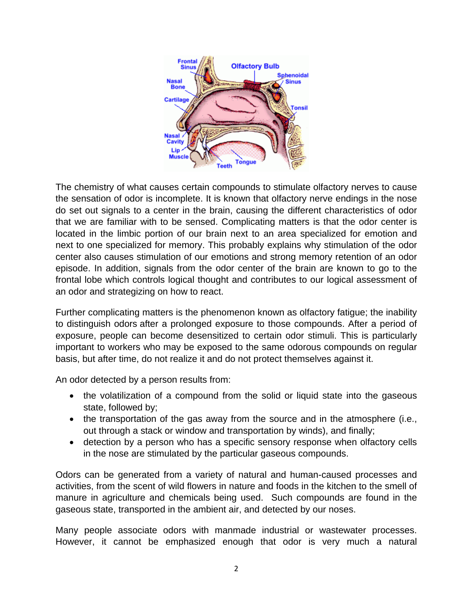

The chemistry of what causes certain compounds to stimulate olfactory nerves to cause the sensation of odor is incomplete. It is known that olfactory nerve endings in the nose do set out signals to a center in the brain, causing the different characteristics of odor that we are familiar with to be sensed. Complicating matters is that the odor center is located in the limbic portion of our brain next to an area specialized for emotion and next to one specialized for memory. This probably explains why stimulation of the odor center also causes stimulation of our emotions and strong memory retention of an odor episode. In addition, signals from the odor center of the brain are known to go to the frontal lobe which controls logical thought and contributes to our logical assessment of an odor and strategizing on how to react.

Further complicating matters is the phenomenon known as olfactory fatigue; the inability to distinguish odors after a prolonged exposure to those compounds. After a period of exposure, people can become desensitized to certain odor stimuli. This is particularly important to workers who may be exposed to the same odorous compounds on regular basis, but after time, do not realize it and do not protect themselves against it.

An odor detected by a person results from:

- the volatilization of a compound from the solid or liquid state into the gaseous state, followed by;
- the transportation of the gas away from the source and in the atmosphere (i.e., out through a stack or window and transportation by winds), and finally;
- detection by a person who has a specific sensory response when olfactory cells in the nose are stimulated by the particular gaseous compounds.

Odors can be generated from a variety of natural and human-caused processes and activities, from the scent of wild flowers in nature and foods in the kitchen to the smell of manure in agriculture and chemicals being used. Such compounds are found in the gaseous state, transported in the ambient air, and detected by our noses.

Many people associate odors with manmade industrial or wastewater processes. However, it cannot be emphasized enough that odor is very much a natural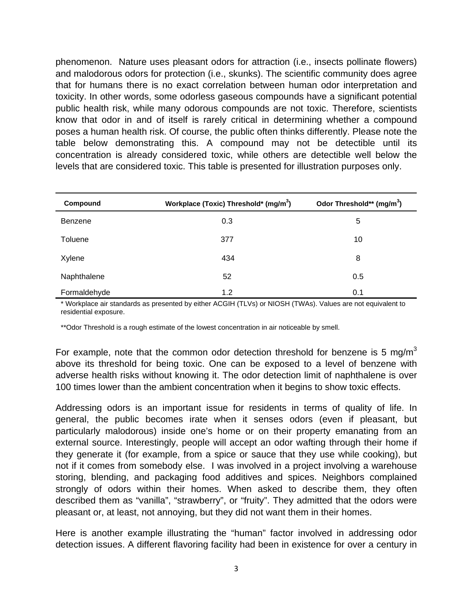phenomenon. Nature uses pleasant odors for attraction (i.e., insects pollinate flowers) and malodorous odors for protection (i.e., skunks). The scientific community does agree that for humans there is no exact correlation between human odor interpretation and toxicity. In other words, some odorless gaseous compounds have a significant potential public health risk, while many odorous compounds are not toxic. Therefore, scientists know that odor in and of itself is rarely critical in determining whether a compound poses a human health risk. Of course, the public often thinks differently. Please note the table below demonstrating this. A compound may not be detectible until its concentration is already considered toxic, while others are detectible well below the levels that are considered toxic. This table is presented for illustration purposes only.

| Compound       | Workplace (Toxic) Threshold* (mg/m <sup>3</sup> ) | Odor Threshold** (mg/m <sup>3</sup> ) |
|----------------|---------------------------------------------------|---------------------------------------|
| <b>Benzene</b> | 0.3                                               | 5                                     |
| Toluene        | 377                                               | 10                                    |
| Xylene         | 434                                               | 8                                     |
| Naphthalene    | 52                                                | 0.5                                   |
| Formaldehyde   | 1.2                                               | 0.1                                   |

\* Workplace air standards as presented by either ACGIH (TLVs) or NIOSH (TWAs). Values are not equivalent to residential exposure.

\*\*Odor Threshold is a rough estimate of the lowest concentration in air noticeable by smell.

For example, note that the common odor detection threshold for benzene is 5 mg/m<sup>3</sup> above its threshold for being toxic. One can be exposed to a level of benzene with adverse health risks without knowing it. The odor detection limit of naphthalene is over 100 times lower than the ambient concentration when it begins to show toxic effects.

Addressing odors is an important issue for residents in terms of quality of life. In general, the public becomes irate when it senses odors (even if pleasant, but particularly malodorous) inside one's home or on their property emanating from an external source. Interestingly, people will accept an odor wafting through their home if they generate it (for example, from a spice or sauce that they use while cooking), but not if it comes from somebody else. I was involved in a project involving a warehouse storing, blending, and packaging food additives and spices. Neighbors complained strongly of odors within their homes. When asked to describe them, they often described them as "vanilla", "strawberry", or "fruity". They admitted that the odors were pleasant or, at least, not annoying, but they did not want them in their homes.

Here is another example illustrating the "human" factor involved in addressing odor detection issues. A different flavoring facility had been in existence for over a century in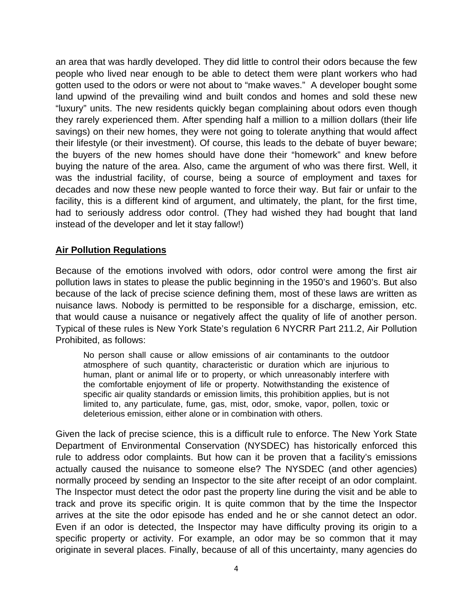an area that was hardly developed. They did little to control their odors because the few people who lived near enough to be able to detect them were plant workers who had gotten used to the odors or were not about to "make waves." A developer bought some land upwind of the prevailing wind and built condos and homes and sold these new "luxury" units. The new residents quickly began complaining about odors even though they rarely experienced them. After spending half a million to a million dollars (their life savings) on their new homes, they were not going to tolerate anything that would affect their lifestyle (or their investment). Of course, this leads to the debate of buyer beware; the buyers of the new homes should have done their "homework" and knew before buying the nature of the area. Also, came the argument of who was there first. Well, it was the industrial facility, of course, being a source of employment and taxes for decades and now these new people wanted to force their way. But fair or unfair to the facility, this is a different kind of argument, and ultimately, the plant, for the first time, had to seriously address odor control. (They had wished they had bought that land instead of the developer and let it stay fallow!)

#### **Air Pollution Regulations**

Because of the emotions involved with odors, odor control were among the first air pollution laws in states to please the public beginning in the 1950's and 1960's. But also because of the lack of precise science defining them, most of these laws are written as nuisance laws. Nobody is permitted to be responsible for a discharge, emission, etc. that would cause a nuisance or negatively affect the quality of life of another person. Typical of these rules is New York State's regulation 6 NYCRR Part 211.2, Air Pollution Prohibited, as follows:

No person shall cause or allow emissions of air contaminants to the outdoor atmosphere of such quantity, characteristic or duration which are injurious to human, plant or animal life or to property, or which unreasonably interfere with the comfortable enjoyment of life or property. Notwithstanding the existence of specific air quality standards or emission limits, this prohibition applies, but is not limited to, any particulate, fume, gas, mist, odor, smoke, vapor, pollen, toxic or deleterious emission, either alone or in combination with others.

Given the lack of precise science, this is a difficult rule to enforce. The New York State Department of Environmental Conservation (NYSDEC) has historically enforced this rule to address odor complaints. But how can it be proven that a facility's emissions actually caused the nuisance to someone else? The NYSDEC (and other agencies) normally proceed by sending an Inspector to the site after receipt of an odor complaint. The Inspector must detect the odor past the property line during the visit and be able to track and prove its specific origin. It is quite common that by the time the Inspector arrives at the site the odor episode has ended and he or she cannot detect an odor. Even if an odor is detected, the Inspector may have difficulty proving its origin to a specific property or activity. For example, an odor may be so common that it may originate in several places. Finally, because of all of this uncertainty, many agencies do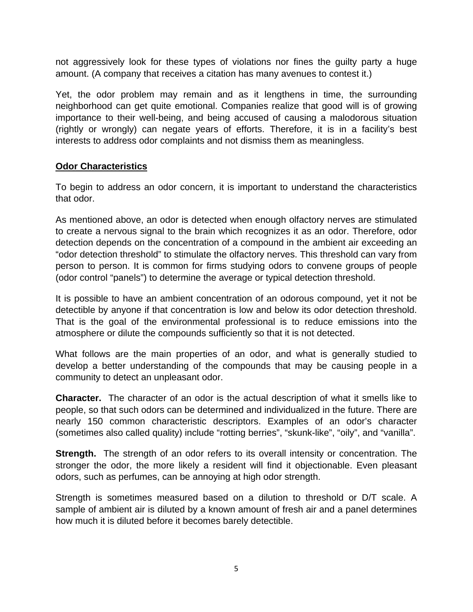not aggressively look for these types of violations nor fines the guilty party a huge amount. (A company that receives a citation has many avenues to contest it.)

Yet, the odor problem may remain and as it lengthens in time, the surrounding neighborhood can get quite emotional. Companies realize that good will is of growing importance to their well-being, and being accused of causing a malodorous situation (rightly or wrongly) can negate years of efforts. Therefore, it is in a facility's best interests to address odor complaints and not dismiss them as meaningless.

#### **Odor Characteristics**

To begin to address an odor concern, it is important to understand the characteristics that odor.

As mentioned above, an odor is detected when enough olfactory nerves are stimulated to create a nervous signal to the brain which recognizes it as an odor. Therefore, odor detection depends on the concentration of a compound in the ambient air exceeding an "odor detection threshold" to stimulate the olfactory nerves. This threshold can vary from person to person. It is common for firms studying odors to convene groups of people (odor control "panels") to determine the average or typical detection threshold.

It is possible to have an ambient concentration of an odorous compound, yet it not be detectible by anyone if that concentration is low and below its odor detection threshold. That is the goal of the environmental professional is to reduce emissions into the atmosphere or dilute the compounds sufficiently so that it is not detected.

What follows are the main properties of an odor, and what is generally studied to develop a better understanding of the compounds that may be causing people in a community to detect an unpleasant odor.

**Character.** The character of an odor is the actual description of what it smells like to people, so that such odors can be determined and individualized in the future. There are nearly 150 common characteristic descriptors. Examples of an odor's character (sometimes also called quality) include "rotting berries", "skunk-like", "oily", and "vanilla".

**Strength.** The strength of an odor refers to its overall intensity or concentration. The stronger the odor, the more likely a resident will find it objectionable. Even pleasant odors, such as perfumes, can be annoying at high odor strength.

Strength is sometimes measured based on a dilution to threshold or D/T scale. A sample of ambient air is diluted by a known amount of fresh air and a panel determines how much it is diluted before it becomes barely detectible.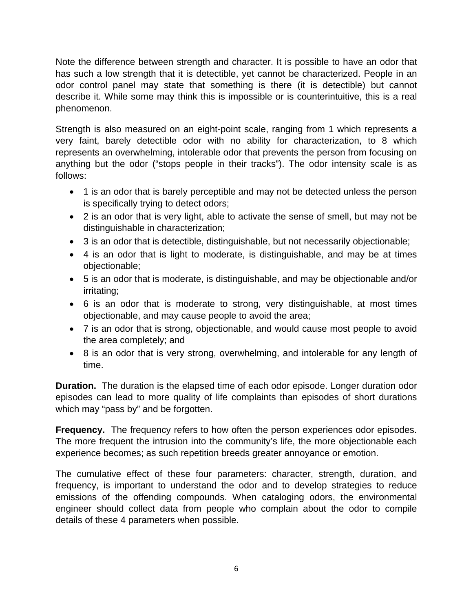Note the difference between strength and character. It is possible to have an odor that has such a low strength that it is detectible, yet cannot be characterized. People in an odor control panel may state that something is there (it is detectible) but cannot describe it. While some may think this is impossible or is counterintuitive, this is a real phenomenon.

Strength is also measured on an eight-point scale, ranging from 1 which represents a very faint, barely detectible odor with no ability for characterization, to 8 which represents an overwhelming, intolerable odor that prevents the person from focusing on anything but the odor ("stops people in their tracks"). The odor intensity scale is as follows:

- 1 is an odor that is barely perceptible and may not be detected unless the person is specifically trying to detect odors;
- 2 is an odor that is very light, able to activate the sense of smell, but may not be distinguishable in characterization;
- 3 is an odor that is detectible, distinguishable, but not necessarily objectionable;
- 4 is an odor that is light to moderate, is distinguishable, and may be at times objectionable;
- 5 is an odor that is moderate, is distinguishable, and may be objectionable and/or irritating;
- 6 is an odor that is moderate to strong, very distinguishable, at most times objectionable, and may cause people to avoid the area;
- 7 is an odor that is strong, objectionable, and would cause most people to avoid the area completely; and
- 8 is an odor that is very strong, overwhelming, and intolerable for any length of time.

**Duration.** The duration is the elapsed time of each odor episode. Longer duration odor episodes can lead to more quality of life complaints than episodes of short durations which may "pass by" and be forgotten.

**Frequency.** The frequency refers to how often the person experiences odor episodes. The more frequent the intrusion into the community's life, the more objectionable each experience becomes; as such repetition breeds greater annoyance or emotion.

The cumulative effect of these four parameters: character, strength, duration, and frequency, is important to understand the odor and to develop strategies to reduce emissions of the offending compounds. When cataloging odors, the environmental engineer should collect data from people who complain about the odor to compile details of these 4 parameters when possible.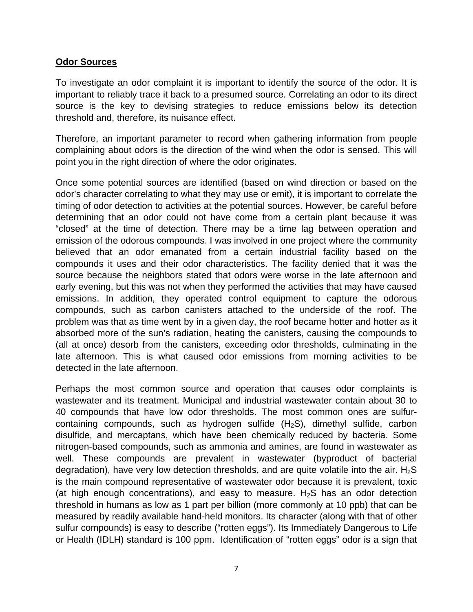#### **Odor Sources**

To investigate an odor complaint it is important to identify the source of the odor. It is important to reliably trace it back to a presumed source. Correlating an odor to its direct source is the key to devising strategies to reduce emissions below its detection threshold and, therefore, its nuisance effect.

Therefore, an important parameter to record when gathering information from people complaining about odors is the direction of the wind when the odor is sensed. This will point you in the right direction of where the odor originates.

Once some potential sources are identified (based on wind direction or based on the odor's character correlating to what they may use or emit), it is important to correlate the timing of odor detection to activities at the potential sources. However, be careful before determining that an odor could not have come from a certain plant because it was "closed" at the time of detection. There may be a time lag between operation and emission of the odorous compounds. I was involved in one project where the community believed that an odor emanated from a certain industrial facility based on the compounds it uses and their odor characteristics. The facility denied that it was the source because the neighbors stated that odors were worse in the late afternoon and early evening, but this was not when they performed the activities that may have caused emissions. In addition, they operated control equipment to capture the odorous compounds, such as carbon canisters attached to the underside of the roof. The problem was that as time went by in a given day, the roof became hotter and hotter as it absorbed more of the sun's radiation, heating the canisters, causing the compounds to (all at once) desorb from the canisters, exceeding odor thresholds, culminating in the late afternoon. This is what caused odor emissions from morning activities to be detected in the late afternoon.

Perhaps the most common source and operation that causes odor complaints is wastewater and its treatment. Municipal and industrial wastewater contain about 30 to 40 compounds that have low odor thresholds. The most common ones are sulfurcontaining compounds, such as hydrogen sulfide  $(H_2S)$ , dimethyl sulfide, carbon disulfide, and mercaptans, which have been chemically reduced by bacteria. Some nitrogen-based compounds, such as ammonia and amines, are found in wastewater as well. These compounds are prevalent in wastewater (byproduct of bacterial degradation), have very low detection thresholds, and are quite volatile into the air.  $H_2S$ is the main compound representative of wastewater odor because it is prevalent, toxic (at high enough concentrations), and easy to measure.  $H_2S$  has an odor detection threshold in humans as low as 1 part per billion (more commonly at 10 ppb) that can be measured by readily available hand-held monitors. Its character (along with that of other sulfur compounds) is easy to describe ("rotten eggs"). Its Immediately Dangerous to Life or Health (IDLH) standard is 100 ppm. Identification of "rotten eggs" odor is a sign that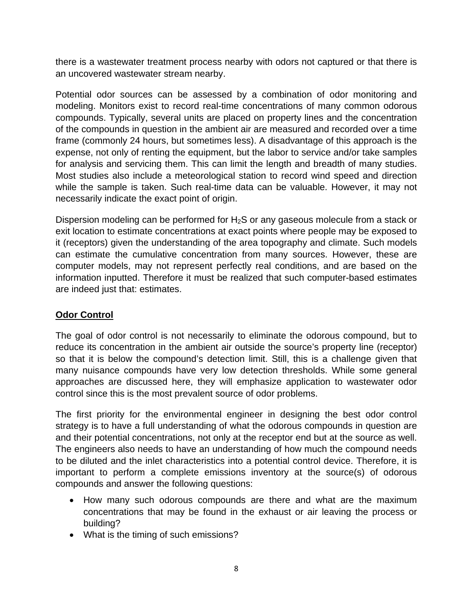there is a wastewater treatment process nearby with odors not captured or that there is an uncovered wastewater stream nearby.

Potential odor sources can be assessed by a combination of odor monitoring and modeling. Monitors exist to record real-time concentrations of many common odorous compounds. Typically, several units are placed on property lines and the concentration of the compounds in question in the ambient air are measured and recorded over a time frame (commonly 24 hours, but sometimes less). A disadvantage of this approach is the expense, not only of renting the equipment, but the labor to service and/or take samples for analysis and servicing them. This can limit the length and breadth of many studies. Most studies also include a meteorological station to record wind speed and direction while the sample is taken. Such real-time data can be valuable. However, it may not necessarily indicate the exact point of origin.

Dispersion modeling can be performed for  $H_2S$  or any gaseous molecule from a stack or exit location to estimate concentrations at exact points where people may be exposed to it (receptors) given the understanding of the area topography and climate. Such models can estimate the cumulative concentration from many sources. However, these are computer models, may not represent perfectly real conditions, and are based on the information inputted. Therefore it must be realized that such computer-based estimates are indeed just that: estimates.

### **Odor Control**

The goal of odor control is not necessarily to eliminate the odorous compound, but to reduce its concentration in the ambient air outside the source's property line (receptor) so that it is below the compound's detection limit. Still, this is a challenge given that many nuisance compounds have very low detection thresholds. While some general approaches are discussed here, they will emphasize application to wastewater odor control since this is the most prevalent source of odor problems.

The first priority for the environmental engineer in designing the best odor control strategy is to have a full understanding of what the odorous compounds in question are and their potential concentrations, not only at the receptor end but at the source as well. The engineers also needs to have an understanding of how much the compound needs to be diluted and the inlet characteristics into a potential control device. Therefore, it is important to perform a complete emissions inventory at the source(s) of odorous compounds and answer the following questions:

- How many such odorous compounds are there and what are the maximum concentrations that may be found in the exhaust or air leaving the process or building?
- What is the timing of such emissions?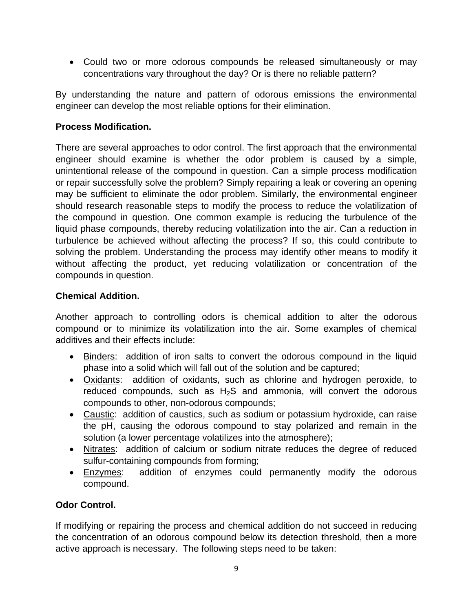• Could two or more odorous compounds be released simultaneously or may concentrations vary throughout the day? Or is there no reliable pattern?

By understanding the nature and pattern of odorous emissions the environmental engineer can develop the most reliable options for their elimination.

## **Process Modification.**

There are several approaches to odor control. The first approach that the environmental engineer should examine is whether the odor problem is caused by a simple, unintentional release of the compound in question. Can a simple process modification or repair successfully solve the problem? Simply repairing a leak or covering an opening may be sufficient to eliminate the odor problem. Similarly, the environmental engineer should research reasonable steps to modify the process to reduce the volatilization of the compound in question. One common example is reducing the turbulence of the liquid phase compounds, thereby reducing volatilization into the air. Can a reduction in turbulence be achieved without affecting the process? If so, this could contribute to solving the problem. Understanding the process may identify other means to modify it without affecting the product, yet reducing volatilization or concentration of the compounds in question.

# **Chemical Addition.**

Another approach to controlling odors is chemical addition to alter the odorous compound or to minimize its volatilization into the air. Some examples of chemical additives and their effects include:

- Binders: addition of iron salts to convert the odorous compound in the liquid phase into a solid which will fall out of the solution and be captured;
- Oxidants: addition of oxidants, such as chlorine and hydrogen peroxide, to reduced compounds, such as  $H_2S$  and ammonia, will convert the odorous compounds to other, non-odorous compounds;
- Caustic: addition of caustics, such as sodium or potassium hydroxide, can raise the pH, causing the odorous compound to stay polarized and remain in the solution (a lower percentage volatilizes into the atmosphere);
- Nitrates: addition of calcium or sodium nitrate reduces the degree of reduced sulfur-containing compounds from forming;
- Enzymes: addition of enzymes could permanently modify the odorous compound.

# **Odor Control.**

If modifying or repairing the process and chemical addition do not succeed in reducing the concentration of an odorous compound below its detection threshold, then a more active approach is necessary. The following steps need to be taken: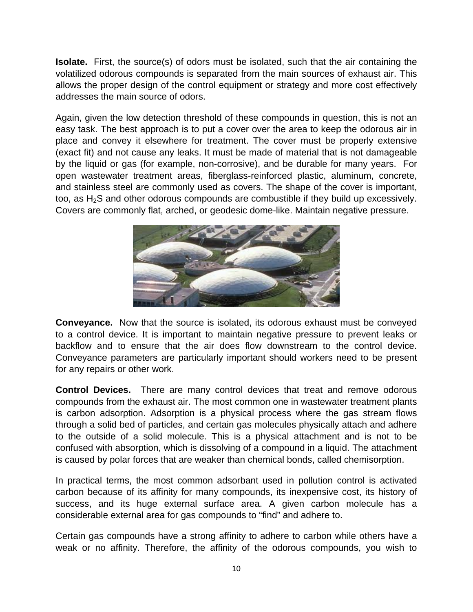**Isolate.** First, the source(s) of odors must be isolated, such that the air containing the volatilized odorous compounds is separated from the main sources of exhaust air. This allows the proper design of the control equipment or strategy and more cost effectively addresses the main source of odors.

Again, given the low detection threshold of these compounds in question, this is not an easy task. The best approach is to put a cover over the area to keep the odorous air in place and convey it elsewhere for treatment. The cover must be properly extensive (exact fit) and not cause any leaks. It must be made of material that is not damageable by the liquid or gas (for example, non-corrosive), and be durable for many years. For open wastewater treatment areas, fiberglass-reinforced plastic, aluminum, concrete, and stainless steel are commonly used as covers. The shape of the cover is important, too, as  $H_2S$  and other odorous compounds are combustible if they build up excessively. Covers are commonly flat, arched, or geodesic dome-like. Maintain negative pressure.



**Conveyance.** Now that the source is isolated, its odorous exhaust must be conveyed to a control device. It is important to maintain negative pressure to prevent leaks or backflow and to ensure that the air does flow downstream to the control device. Conveyance parameters are particularly important should workers need to be present for any repairs or other work.

**Control Devices.** There are many control devices that treat and remove odorous compounds from the exhaust air. The most common one in wastewater treatment plants is carbon adsorption. Adsorption is a physical process where the gas stream flows through a solid bed of particles, and certain gas molecules physically attach and adhere to the outside of a solid molecule. This is a physical attachment and is not to be confused with absorption, which is dissolving of a compound in a liquid. The attachment is caused by polar forces that are weaker than chemical bonds, called chemisorption.

In practical terms, the most common adsorbant used in pollution control is activated carbon because of its affinity for many compounds, its inexpensive cost, its history of success, and its huge external surface area. A given carbon molecule has a considerable external area for gas compounds to "find" and adhere to.

Certain gas compounds have a strong affinity to adhere to carbon while others have a weak or no affinity. Therefore, the affinity of the odorous compounds, you wish to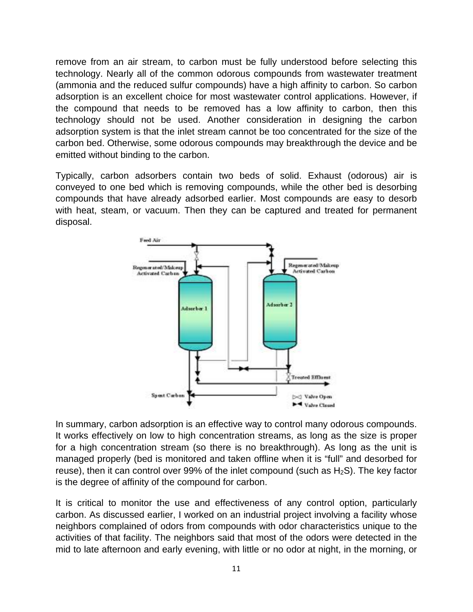remove from an air stream, to carbon must be fully understood before selecting this technology. Nearly all of the common odorous compounds from wastewater treatment (ammonia and the reduced sulfur compounds) have a high affinity to carbon. So carbon adsorption is an excellent choice for most wastewater control applications. However, if the compound that needs to be removed has a low affinity to carbon, then this technology should not be used. Another consideration in designing the carbon adsorption system is that the inlet stream cannot be too concentrated for the size of the carbon bed. Otherwise, some odorous compounds may breakthrough the device and be emitted without binding to the carbon.

Typically, carbon adsorbers contain two beds of solid. Exhaust (odorous) air is conveyed to one bed which is removing compounds, while the other bed is desorbing compounds that have already adsorbed earlier. Most compounds are easy to desorb with heat, steam, or vacuum. Then they can be captured and treated for permanent disposal.



In summary, carbon adsorption is an effective way to control many odorous compounds. It works effectively on low to high concentration streams, as long as the size is proper for a high concentration stream (so there is no breakthrough). As long as the unit is managed properly (bed is monitored and taken offline when it is "full" and desorbed for reuse), then it can control over 99% of the inlet compound (such as  $H_2S$ ). The key factor is the degree of affinity of the compound for carbon.

It is critical to monitor the use and effectiveness of any control option, particularly carbon. As discussed earlier, I worked on an industrial project involving a facility whose neighbors complained of odors from compounds with odor characteristics unique to the activities of that facility. The neighbors said that most of the odors were detected in the mid to late afternoon and early evening, with little or no odor at night, in the morning, or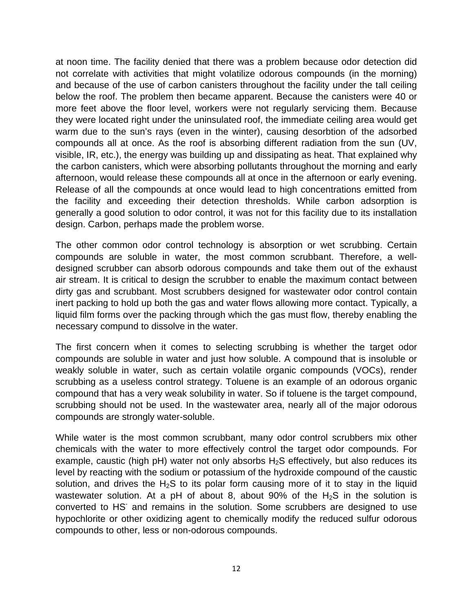at noon time. The facility denied that there was a problem because odor detection did not correlate with activities that might volatilize odorous compounds (in the morning) and because of the use of carbon canisters throughout the facility under the tall ceiling below the roof. The problem then became apparent. Because the canisters were 40 or more feet above the floor level, workers were not regularly servicing them. Because they were located right under the uninsulated roof, the immediate ceiling area would get warm due to the sun's rays (even in the winter), causing desorbtion of the adsorbed compounds all at once. As the roof is absorbing different radiation from the sun (UV, visible, IR, etc.), the energy was building up and dissipating as heat. That explained why the carbon canisters, which were absorbing pollutants throughout the morning and early afternoon, would release these compounds all at once in the afternoon or early evening. Release of all the compounds at once would lead to high concentrations emitted from the facility and exceeding their detection thresholds. While carbon adsorption is generally a good solution to odor control, it was not for this facility due to its installation design. Carbon, perhaps made the problem worse.

The other common odor control technology is absorption or wet scrubbing. Certain compounds are soluble in water, the most common scrubbant. Therefore, a welldesigned scrubber can absorb odorous compounds and take them out of the exhaust air stream. It is critical to design the scrubber to enable the maximum contact between dirty gas and scrubbant. Most scrubbers designed for wastewater odor control contain inert packing to hold up both the gas and water flows allowing more contact. Typically, a liquid film forms over the packing through which the gas must flow, thereby enabling the necessary compund to dissolve in the water.

The first concern when it comes to selecting scrubbing is whether the target odor compounds are soluble in water and just how soluble. A compound that is insoluble or weakly soluble in water, such as certain volatile organic compounds (VOCs), render scrubbing as a useless control strategy. Toluene is an example of an odorous organic compound that has a very weak solubility in water. So if toluene is the target compound, scrubbing should not be used. In the wastewater area, nearly all of the major odorous compounds are strongly water-soluble.

While water is the most common scrubbant, many odor control scrubbers mix other chemicals with the water to more effectively control the target odor compounds. For example, caustic (high  $pH$ ) water not only absorbs  $H_2S$  effectively, but also reduces its level by reacting with the sodium or potassium of the hydroxide compound of the caustic solution, and drives the H<sub>2</sub>S to its polar form causing more of it to stay in the liquid wastewater solution. At a pH of about 8, about 90% of the H<sub>2</sub>S in the solution is converted to HS<sup>-</sup> and remains in the solution. Some scrubbers are designed to use hypochlorite or other oxidizing agent to chemically modify the reduced sulfur odorous compounds to other, less or non-odorous compounds.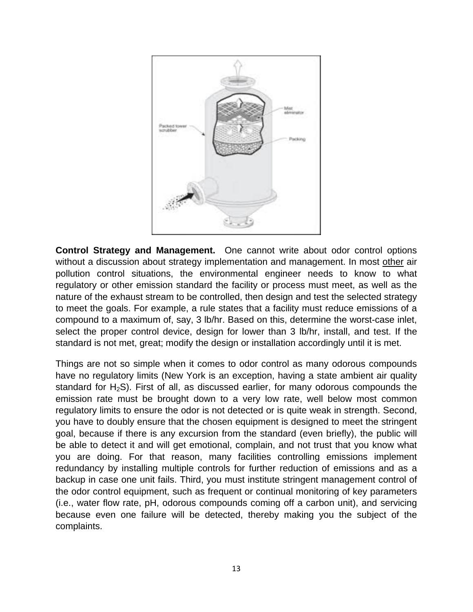

**Control Strategy and Management.** One cannot write about odor control options without a discussion about strategy implementation and management. In most other air pollution control situations, the environmental engineer needs to know to what regulatory or other emission standard the facility or process must meet, as well as the nature of the exhaust stream to be controlled, then design and test the selected strategy to meet the goals. For example, a rule states that a facility must reduce emissions of a compound to a maximum of, say, 3 lb/hr. Based on this, determine the worst-case inlet, select the proper control device, design for lower than 3 lb/hr, install, and test. If the standard is not met, great; modify the design or installation accordingly until it is met.

Things are not so simple when it comes to odor control as many odorous compounds have no regulatory limits (New York is an exception, having a state ambient air quality standard for  $H_2S$ ). First of all, as discussed earlier, for many odorous compounds the emission rate must be brought down to a very low rate, well below most common regulatory limits to ensure the odor is not detected or is quite weak in strength. Second, you have to doubly ensure that the chosen equipment is designed to meet the stringent goal, because if there is any excursion from the standard (even briefly), the public will be able to detect it and will get emotional, complain, and not trust that you know what you are doing. For that reason, many facilities controlling emissions implement redundancy by installing multiple controls for further reduction of emissions and as a backup in case one unit fails. Third, you must institute stringent management control of the odor control equipment, such as frequent or continual monitoring of key parameters (i.e., water flow rate, pH, odorous compounds coming off a carbon unit), and servicing because even one failure will be detected, thereby making you the subject of the complaints.